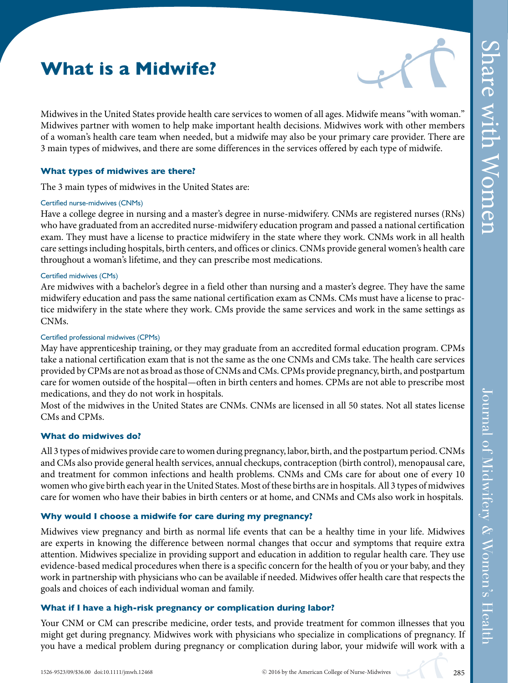# **What is a Midwife?**



Midwives in the United States provide health care services to women of all ages. Midwife means "with woman." Midwives partner with women to help make important health decisions. Midwives work with other members of a woman's health care team when needed, but a midwife may also be your primary care provider. There are 3 main types of midwives, and there are some differences in the services offered by each type of midwife.

#### **What types of midwives are there?**

The 3 main types of midwives in the United States are:

#### Certified nurse-midwives (CNMs)

Have a college degree in nursing and a master's degree in nurse-midwifery. CNMs are registered nurses (RNs) who have graduated from an accredited nurse-midwifery education program and passed a national certification exam. They must have a license to practice midwifery in the state where they work. CNMs work in all health care settingsincluding hospitals, birth centers, and offices or clinics. CNMs provide general women's health care throughout a woman's lifetime, and they can prescribe most medications.

#### Certified midwives (CMs)

Are midwives with a bachelor's degree in a field other than nursing and a master's degree. They have the same midwifery education and pass the same national certification exam as CNMs. CMs must have a license to practice midwifery in the state where they work. CMs provide the same services and work in the same settings as CNMs.

#### Certified professional midwives (CPMs)

May have apprenticeship training, or they may graduate from an accredited formal education program. CPMs take a national certification exam that is not the same as the one CNMs and CMs take. The health care services provided by CPMs are not as broad asthose of CNMs and CMs. CPMs provide pregnancy, birth, and postpartum care for women outside of the hospital—often in birth centers and homes. CPMs are not able to prescribe most medications, and they do not work in hospitals.

Most of the midwives in the United States are CNMs. CNMs are licensed in all 50 states. Not all states license CMs and CPMs.

#### **What do midwives do?**

All 3 types of midwives provide care to women during pregnancy, labor, birth, and the postpartum period. CNMs and CMs also provide general health services, annual checkups, contraception (birth control), menopausal care, and treatment for common infections and health problems. CNMs and CMs care for about one of every 10 women who give birth each year in the United States. Most of these births are in hospitals. All 3 types of midwives care for women who have their babies in birth centers or at home, and CNMs and CMs also work in hospitals.

## **Why would I choose a midwife for care during my pregnancy?**

Midwives view pregnancy and birth as normal life events that can be a healthy time in your life. Midwives are experts in knowing the difference between normal changes that occur and symptoms that require extra attention. Midwives specialize in providing support and education in addition to regular health care. They use evidence-based medical procedures when there is a specific concern for the health of you or your baby, and they work in partnership with physicians who can be available if needed. Midwives offer health care that respects the goals and choices of each individual woman and family.

## **What if I have a high-risk pregnancy or complication during labor?**

Your CNM or CM can prescribe medicine, order tests, and provide treatment for common illnesses that you might get during pregnancy. Midwives work with physicians who specialize in complications of pregnancy. If you have a medical problem during pregnancy or complication during labor, your midwife will work with a